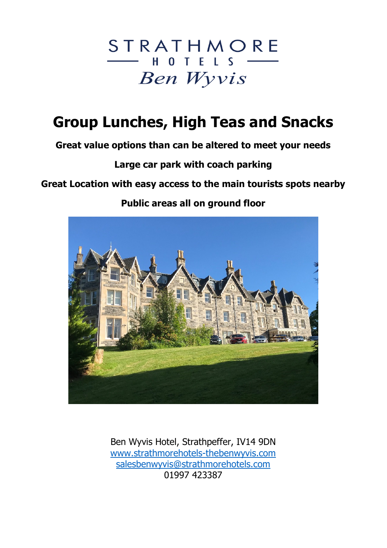

# Group Lunches, High Teas and Snacks

Great value options than can be altered to meet your needs

Large car park with coach parking

## Great Location with easy access to the main tourists spots nearby

## Public areas all on ground floor



Ben Wyvis Hotel, Strathpeffer, IV14 9DN www.strathmorehotels-thebenwyvis.com salesbenwyvis@strathmorehotels.com 01997 423387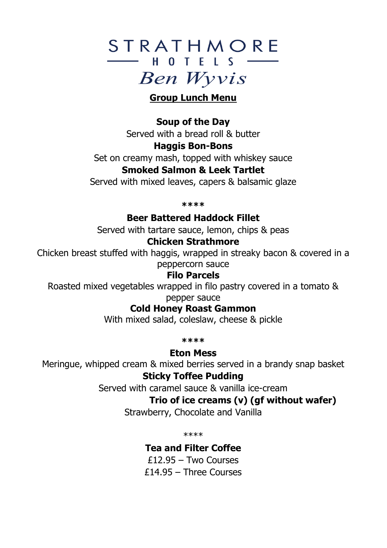# STRATHMORE  $-$  HOTFIS  $-$ **Ben Wyvis**

#### Group Lunch Menu

### Soup of the Day

Served with a bread roll & butter

#### Haggis Bon-Bons

Set on creamy mash, topped with whiskey sauce

#### Smoked Salmon & Leek Tartlet

Served with mixed leaves, capers & balsamic glaze

\*\*\*\*

Beer Battered Haddock Fillet

Served with tartare sauce, lemon, chips & peas

#### Chicken Strathmore

Chicken breast stuffed with haggis, wrapped in streaky bacon & covered in a peppercorn sauce

#### Filo Parcels

Roasted mixed vegetables wrapped in filo pastry covered in a tomato & pepper sauce

Cold Honey Roast Gammon

With mixed salad, coleslaw, cheese & pickle

\*\*\*\*

Eton Mess

Meringue, whipped cream & mixed berries served in a brandy snap basket

### Sticky Toffee Pudding

Served with caramel sauce & vanilla ice-cream

## Trio of ice creams (v) (gf without wafer)

Strawberry, Chocolate and Vanilla

\*\*\*\*

Tea and Filter Coffee

£12.95 – Two Courses £14.95 – Three Courses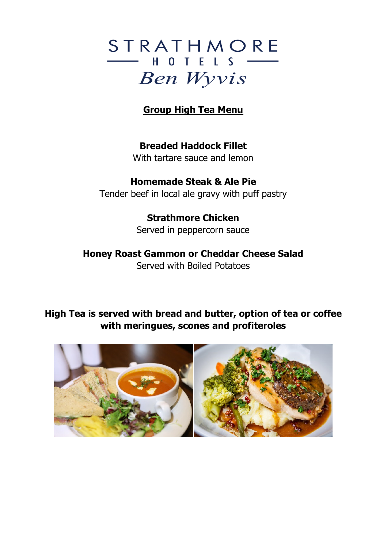# STRATHMORE  $-$  HOTELS  $-$ **Ben Wyvis**

## Group High Tea Menu

Breaded Haddock Fillet With tartare sauce and lemon

Homemade Steak & Ale Pie Tender beef in local ale gravy with puff pastry

#### Strathmore Chicken Served in peppercorn sauce

#### Honey Roast Gammon or Cheddar Cheese Salad Served with Boiled Potatoes

## High Tea is served with bread and butter, option of tea or coffee with meringues, scones and profiteroles